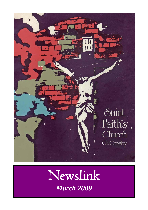

# Newslink *March 2009*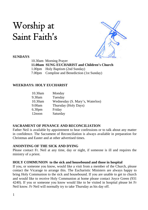# Worship at Saint Faith's



#### **SUNDAYS**

 10.30am Morning Prayer  **11.00am SUNG EUCHARIST and Children's Church**  1.00pm Holy Baptism (2nd Sunday) 7.00pm Compline and Benediction (1st Sunday)

### **WEEKDAYS: HOLY EUCHARIST**

| 10.30am            | Monday                          |
|--------------------|---------------------------------|
| 9.30am             | Tuesday                         |
| 10.30am            | Wednesday (S. Mary's, Waterloo) |
| 9.00am             | Thursday (Holy Days)            |
| 6.30 <sub>pm</sub> | Friday                          |
| 12noon             | Saturday                        |

### **SACRAMENT OF PENANCE AND RECONCILIATION**

Father Neil is available by appointment to hear confessions or to talk about any matter in confidence. The Sacrament of Reconciliation is always available in preparation for Christmas and Easter and at other advertised times.

### **ANOINTING OF THE SICK AND DYING**

Please contact Fr. Neil at any time, day or night, if someone is ill and requires the ministry of a priest.

### **HOLY COMMUNION to the sick and housebound and those in hospital**

If you, or someone you know, would like a visit from a member of the Church, please contact the Vicarage to arrange this. The Eucharistic Ministers are always happy to bring Holy Communion to the sick and housebound. If you are unable to get to church and would like to receive Holy Communion at home please contact Joyce Green (931 4240). If you or someone you know would like to be visited in hospital please let Fr Neil know. Fr Neil will normally try to take Thursday as his day off.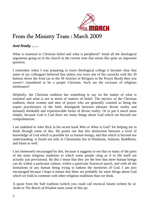

## From the Ministry Team : March 2009

### *And finally ……*

What is essential to Christian belief and what is peripheral? Amid all the theological arguments going on in the church at the current time that seems like quite an important question.

I remember when I was preparing to leave theological college it became clear that some of my colleagues believed that unless you wore one of the cassocks with the 39 buttons down the front (as in the 39 Articles of Religion in the Prayer Book) then you weren't considered to be a proper Christian. Such are the excesses of religious intolerance!

Helpfully, the Christian tradition has something to say on the matter of what is essential and what is not in terms of matters of belief. The mystics of the Christian tradition, those women and men of prayer who are generally counted as being the expert practitioners of the faith, distinguish between ultimate divine reality and humanly thinkable and experiencable forms of divine reality. Or to put it much more simply, because God is God there are many things about God which are beyond our comprehension.

I am indebted to John Hick in his recent book *Who or What is God?* for helping me to think through some of this. He points out that this distinction between a level of knowledge of God which is possible for us human beings, and that which is beyond our understanding, is found not only in Christianity but in Hinduism, Judaism, Buddhism, and Islam as well.

I am immensely encouraged by this, because it suggests to me that so many of the parts of the main religious traditions to which some people cling as if to life itself are actually just provisional. By this I mean that they are the best that mere human beings can do within a particular culture, within a particular historical epoch, and with all the limitations of any human being trying to fathom the mysteries of God. I am also encouraged because I hope it means that there are probably far more things about God which we hold in common with other religious traditions than we think.

A quote from the Sufi tradition (which you could call mystical Islam) written by al-Arabi in *The Bezels of Wisdom* sums some of this up: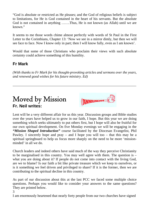"God is absolute or restricted as He pleases; and the God of religious beliefs is subject to limitations, for He is God contained in the heart of his servants. But the absolute God is not contained in anything …….Thus, He is not known (as Allah) until we are known"

It seems to me those words chime almost perfectly with words of St Paul in the First Letter to the Corinthians, Chapter 13: 'Now we see in a mirror dimly, but then we will see face to face. Now I know only in part; then I will know fully, even as I am known'.

Would that some of those Christians who proclaim their views with such absolute certainty could achieve something of this humility.

### **Fr Mark**

*(With thanks to Fr Mark for his thought-provoking articles and sermons over the years, and renewed good wishes for his future ministry. Ed)* 

*\_\_\_\_\_\_\_\_\_\_\_\_\_\_\_\_\_\_\_\_\_\_\_\_\_\_\_\_\_\_\_\_\_\_\_\_\_\_\_\_\_\_\_\_\_\_\_\_\_\_\_\_\_\_\_\_\_\_\_\_\_\_\_\_\_\_\_\_\_\_* 

# Moved by Mission **Fr. Neil writes:**



Lent will be a very different affair for us this year. Discussion groups and Bible studies over the years have helped us to grow in our faith, I hope. But this year we are doing something which seeks ultimately to put others first, but I hope will also be fruitful for our own spiritual development. On five Monday evenings we will be engaging in the *"Mission Shaped Introduction"* course facilitated by the Diocesan Evangelist, Phil Pawley. I sincerely hope and pray – and I hope you will too – that this may be a spiritual springboard to help us focus more sharply on the need to be more 'missionminded' in all we do.

Church leaders and indeed others have said much of the way they perceive Christianity to be marginalised in this country. You may well agree with them. The question is  $$ what you are doing about it? If people do not come into contact with the living God, are we to blame? Is our faith a bit like private treasure which we keep to ourselves, or is it something we feel driven and privileged to share? If it is the former, then we are contributing to the spiritual decline in this country.

As part of our discussion about this at the last PCC we faced some multiple choice questions. Perhaps you would like to consider your answers to the same questions? They are printed below.

#### 3

I am enormously heartened that nearly forty people from our two churches have signed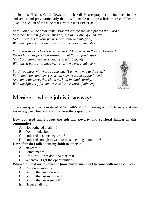up for this. That is Good News to be shared! Please pray for all involved in this endeavour and pray particularly that it will enable us to be a little more confident to give 'an account of the hope that is within us' (1 Peter 3:15).

*Lord, You give the great commission:"Heal the sick and preach the Word."*  Lest the Church neglect its mission, and the Gospel go unheard, *Help us witness to Your purpose with renewed integrity, With the Spirit's gifts empower us for the work of ministry.* 

*Lord, You show us love's true measure: "Father, what they do, forgive." Yet we hoard as private treasure all that You so freely give. May Your care and mercy lead us to a just society. With the Spirit's gifts empower us for the work of ministry.* 

*Lord, you bless with words assuring: "I am with you to the end." Faith and hope and love restoring, may we serve as you intend And, amid the cares that claim us, hold in mind eternity. With the Spirit's gifts empower us for the work of ministry.* 



### Mission – whose job is it anyway?

These are questions considered at St Faith's P.C.C. meeting on  $19<sup>th</sup>$  January and the answers given. How would you answer these questions?

### **How bothered am I about the spiritual poverty and spiritual hunger in this community?**

- A. Not bothered at all  $= 0$
- B. Don't think about it  $= 1$
- C. bothered to some degree  $= 5$
- D. bothered enough to want to do something about it  $= 6$

### **How often do I talk about my faith to others?**

- A. Never  $= 0$
- B. Sometimes  $= 10$
- C. I'm C of  $E$  we don't do that! = 0
- D. Whenever I get the opportunity  $= 2$

### **When did I last invite someone (non church member) to come with me to church?**

- A. Can't remember!  $= 2$
- B. Within the last year  $= 4$
- C. Within the last month  $=$  3
- D. Within the last week  $= 0$
- E. Never at all  $=$  3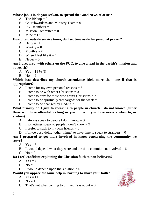**Whose job is it, do you reckon, to spread the Good News of Jesus?**

- A. The Bishop  $= 0$
- B. Churchwardens and Ministry Team  $= 0$
- C. PCC members  $= 0$
- D. Mission Committee  $= 0$
- E. Mine  $= 12$ .

**How often, outside service times, do I set time aside for personal prayer?**

- A. Daily  $= 11$
- B. Weekly  $= 0$
- C. Monthly =  $0$
- D. When I feel like it  $= 1$
- $\mathbf{E}$ . Never = 0

**Am I prepared, with others on the PCC, to give a lead in the parish's mission and outreach?**

- A.  $Yes = 11 \frac{1}{2} ()$
- $B$ .  $No = \frac{1}{2}$

**Which best describes my church attendance (tick more than one if that is appropriate)?**

- A. I come for my own personal reasons  $= 6$
- B. I come to be with other Christians  $= 3$
- C. I come to pray for those who aren't Christians  $= 2$
- D. I come to be spiritually 'recharged' for the week  $= 6$
- E. I come to be changed by  $God? = 7$

**What priority do I give to speaking to people in church I do not know? (either those who have attended as long as you but who you have never spoken to, or visitors)**

- A. I always speak to people I don't know  $= 3$
- B. I sometimes speak to people I don't know  $= 9$
- C. I prefer to stick to my own friends  $= 0$
- D. I'm too busy doing 'other things' to have time to speak to strangers  $= 0$

**Am I prepared to get more involved in issues concerning the community we serve?**

- A.  $Yes = 6$
- B. It would depend what they were and the time commitment involved  $= 6$
- C. No  $= 0$

### **Do I feel confident explaining the Christian faith to non-believers?**

- A.  $Yes = 4$
- $B. \quad No = 2$
- C. It would depend upon the situation  $= 6$

### **Would you appreciate some help in learning to share your faith?**

- A.  $Yes = 11$
- $B$ . No = 1
- C. That's not what coming to St. Faith's is about  $= 0$

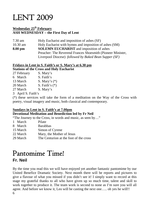# LENT 2009

### **Wednesday 25th February ASH WEDNESDAY – the First Day of Lent**

| 7.30 am    | Holy Eucharist and imposition of ashes (SF)                 |
|------------|-------------------------------------------------------------|
| $10.30$ am | Holy Eucharist with hymns and imposition of ashes (SM)      |
| 8.00 pm    | <b>SOLEMN EUCHARIST</b> and imposition of ashes             |
|            | Preacher: The Reverend Frances Shoesmith (Pioneer Minister, |
|            | Liverpool Diocese) followed by Baked Bean Supper (SF)       |

### **Fridays in Lent in S. Faith's or S. Mary's at 6.30 pm**

**Stations of the Cross and Holy Eucharist** 

- 27 February S. Mary's
- 6 March S. Faith's
- 13 March S. Mary's (\*)
- 20 March S. Faith's (\*)
- 27 March S. Mary's
- 3 April S. Faith's

(\*) these services will take the form of a meditation on the Way of the Cross with poetry, visual imagery and music, both classical and contemporary.

### **Sundays in Lent in S. Faith's at 7.00pm**

### **Devotional Meditation and Benediction led by Fr Neil**

"The Journey to the Cross, in words and music, as seen by…"

- 1 March Pilate
- 8 March Barabbas
- 15 March Simon of Cyrene
- 22 March Mary, the Mother of Jesus
- 29 March The Centurion at the foot of the cross

# Pantomime Time! **Fr. Neil**

By the time you read this we will have enjoyed yet another fantastic pantomime by our United Benefice Dramatic Society. Next month there will be reports and pictures to give a flavour of what you missed if you didn't see it! I simply want to record at this stage my grateful thanks to all who have given up so much time, talent and skill to work together to produce it. The team work is second to none as I'm sure you will all agree. And before we know it, Leo will be casting the next one….. oh yes he will!! 6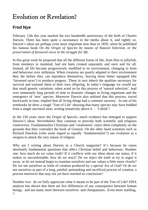# Evolution or Revelation?

### **Fred Nye**

February 12th this year marked the two hundredth anniversary of the birth of Charles Darwin. There has been quite a razzmatazz in the media about it, and rightly so. Darwin's ideas are perhaps even more important now than in 1859, when he published his famous book *On the Origin of Species by means of Natural Selection, or the preservation of favoured races in the struggle for life.* 

In this great work he proposed that all the different forms of life, from flies to jellyfish, from monkeys to mankind, had not been created separately and once and for all. Instead, all life became progressively modified to its environment, changing in form and behaviour over millennia. When creatures are poorly adapted to their environment they die before they can reproduce themselves, leaving those better equipped (the 'favoured races') to produce progeny. These in turn inherit the qualities necessary for survival and transmit them to their own offspring. In today's language we would say that small genetic variations, when acted on by this process of 'natural selection', lead over immensely long periods of time to dramatic changes in living organisms and the emergence of 'new' species. Moreover Darwin also realised that this process, traced backwards in time, implied that all living things had a common ancestry. In one of his notebooks he drew a rough 'Tree of Life' showing that many species may have budded from a single ancestral stem, writing tentatively above it - 'I think'!

In the 150 years since the *Origin of Species*, much evidence has emerged to support Darwin's ideas. Nevertheless they continue to provoke both scientific and religious controversy. Fundamentalist Christians and 'creationists' reject them completely on the grounds that they contradict the book of Genesis. On the other hand scientists such as Richard Dawkins (who some regard as equally 'fundamentalist'!) use evolution as a weapon to attack the very nature of religion.

Why am I writing about Darwin in a Church magazine? It's because he raises absolutely fundamental questions that affect Christian belief and behaviour. Number one: how much do we value truth? If it conflicts with our ideas about our status, if it makes us uncomfortable, how do we react? Do we reject the truth or try to argue it away, or do we instead begin to examine ourselves and our values a little more closely? Do we see ourselves as lords of creation produced by a special Act of God? Or do we see ourselves as part of a long, painful, painstaking and sacrificial process of creation, a process moreover that may not yet have reached its conclusion?

Number two: do we fully appreciate what it means to be part of the Tree of Life? DNA analysis has shown that there are few differences of any consequence between human beings, and not many more between ourselves and chimpanzees. Even more startling, 7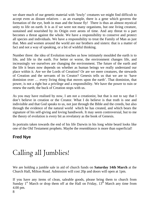we share much of our genetic material with 'lowly' creatures we might find difficult to accept even as distant relatives – as an example, there is a gene which governs the formation of the eye, both in man and the house fly! There is thus an almost mystical unity to life on earth. It is as if we were not many organisms, but one living creature, sustained and nourished by its Origin over aeons of time. And any threat to a part becomes a threat against the whole. We have a responsibility to conserve and protect all species and individuals. We have a responsibility to treat the Family of Man as just that. Men and women around the world are our brothers and sisters: that is a matter of fact and not a way of speaking, or a bit of wishful thinking.

Number three: the idea of Evolution teaches us how intimately moulded the earth is to life, and life to the earth. For better or worse, the environment changes life, and increasingly we ourselves are changing the environment. The future of the earth and the life it bears now depends on whether as human beings we really understand our place within it. Are we the Lords of Creation? Or are we mere creatures, the stewards of Creation and the servants of its Creator? Genesis tells us that we are to 'have dominion over … every living thing that moves upon the earth'. That dominion, that power, is not a right but a privilege and a responsibility. We have the power to ruin or renew the earth; the buck of Creation stops with us.

As you may have realised by now, I am not a creationist, but that is not to say that I don't believe in creation or the Creator. What I do believe is that truth is one and indivisible and that God speaks to us, not just through the Bible and the creeds, but also through the evidence of the natural world which he has created, and which bears the signature of his self-giving and loving handiwork. It may seem controversial, but to me the theory of evolution is every bit as revelatory as the book of Genesis.

In portraits taken towards the end of his life Darwin in his long white beard looks like one of the Old Testament prophets. Maybe the resemblance is more than superficial!

### **Fred Nye**

# Calling all Jumblies!

We are holding a jumble sale in aid of church funds on **Saturday 14th March** at the Church Hall, Milton Road. Admission will cost 20p and doors will open at 1pm.

If you have any items of clean, saleable goods, please bring them to church from Sunday  $1<sup>st</sup>$  March or drop them off at the Hall on Friday,  $13<sup>th</sup>$  March any time from 4.00 pm. 8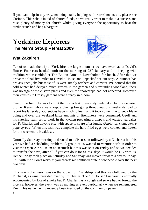If you can help in any way, manning stalls, helping with refreshments etc, please see Corinne. This sale is in aid of church funds, so we really want to make it a success and raise plenty of money for church whilst giving everyone the opportunity to beat the credit crunch and bag a bargain!

# Yorkshire Explorers **The Men's Group Retreat 2009**

### **Wat Zakairen**



Ten of us made the trip to Yorkshire, the largest number we have ever had at David's House. Four cars headed north on the morning of  $22<sup>nd</sup>$  January and in keeping with tradition we assembled at The Bolton Arms in Downholme for lunch. After this we drove the final five miles to David's House and unpacked for our stay. A number had pre-assigned jobs but most of us were simply fetchers and carriers. We noticed that the cold winter had delayed much growth in the garden and surrounding woodland; there was no sign of the custard plants and even the snowdrops had not appeared. However, their cousins in Crosby gardens were already in bloom.

One of the first jobs was to light the fire, a task previously undertaken by our departed brother Kevin, who always kept a blazing fire going throughout our weekends. Sad to report his latter day apprentices have much to learn and it took some time to get a blaze going and over the weekend large amounts of firelighters were consumed. Geoff and his catering team set to work in the kitchen preparing crumpets and toasted tea cakes for Fr Charles and anyone else with space to spare after lunch. *(Photo top right, centre page spread)* When this task was complete the hard fried eggs were cooked and frozen for the weekend's breakfasts.

Normally Saturday morning is devoted to a discussion followed by a Eucharist but this year we had a scheduling problem. A group of us wanted to venture north in order to visit the Open Air Museum at Beamish but this was shut on Friday and so we decided to transfer the days; after all if you can do it for Saints' days it would be OK with us. Hence Friday took place on Saturday and Saturday was moved forward a day to Friday. Still with me? Don't worry if you aren't: we confused quite a few people over the next two days.

This year's discussion was on the subject of Friendship, and this was followed by the Eucharist, as usual presided over by Fr Charles. The "In House" Eucharist is normally accompanied by lots of smoke but Fr Charles has a cough and so we had to forego the incense, however, the event was as moving as ever, particularly when we remembered Kevin, his name having recently been inscribed on the communion paten. 9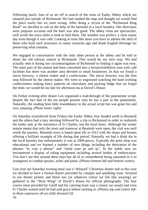Following lunch, four of us set off in search of the ruins of Easby Abbey which are situated just outside of Richmond. We had studied the map and thought we would find the place easily but we were wrong. After doing a circuit of the "Richmond Ring Road" we decided to call on the help of the barmaid in a local hostelry. Her directions were pinpoint accurate and the beer was also good. The abbey ruins are spectacular, well worth the extra miles it took to find them. The weather was perfect, a clear sunny day even though it was cold. Looking at ruins like these you have to admire the skill of those who built such structures so many centuries ago and thank English Heritage for preserving what remains.

We engaged in conversation with the only other person at the abbey and he told us about the old railway station at Richmond. That would be our next stop. We had actually seen it during our circumnavigation of Richmond so finding it again was easy. The main part of the station had been converted into a lecture/exhibition area with café facilities but there was another area devoted to small businesses. In that we found a micro brewery, a cheese maker and a confectioner. The micro brewery was the first stop followed by the cheese maker. We were so engrossed watching the hard working confectioners making fancy patterns on chocolates and packing fudge that we forgot the time; we would be too late for afternoon tea at David's House.

On Friday evening after dinner Leo organised a read-through of the pantomime script; despite the fact that of the ten people present only he has a part in the pantomime. Naturally, the reading bore little resemblance to the actual script but was great fun and very amusing. *(Photo lower right)*

On Saturday (transferred from Friday) the Easby Abbey four headed north to Beamish and the others had a lazy morning followed by a trip to Richmond in order to replenish the larder and, at the insistence of Fr Charles, test the local beers. Although the winter season meant that only the town and tramway at Beamish were open, the visit was well worth the journey. Beamish town is based upon life in 1913 with the shops and houses offering a brilliant example of life during that period. Naturally we had a drink the in the local hostelry but unfortunately it was at 2009 prices. Typically the print shop was educational and we learned a number of new things including the derivation of the phrases "to coin a phrase" and "mind your ps and qs". In the stable area we encountered a display of riding equipment including several bottles of embrocation. You don't see this around these days but all of us remembered being saturated in it as youngsters to combat sprains, aches and pains. *(Photos bottom left and bottom centre)*

Last year our Saturday evening meal was a "delayed" Christmas dinner and so this year we decided to have a formal dinner preceded by canapés and sparkling wine. Arrayed in our dinner jackets and black ties (or whatever colour we felt like wearing) we gathered in the "West Wing" of David's House for official photographs. The four course meal provided by Geoff and his catering team was a classic (as usual) and even Fr Charles waited until he had said grace before tucking in. *(Photos top and centre left: in these exposures all are fully dressed (!))*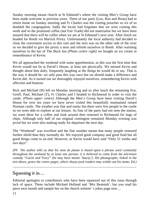Sunday morning meant church at St Edmund's where the visiting Men's Group have been made welcome in previous years. Three of our party (Leo, Ron and Brian) had to return home on Sunday morning and Fr Charles was the visiting preacher so six of us doubled the congregation. Sadly the locals had forgotten that we were coming this week and so the promised coffee (not Fair Trade) did not materialise but we have been assured that there will be coffee when we are at St Edmund's next year. After lunch we headed for Reeth via Marrick Priory. Unfortunately the local authority had decided to close the convenient access to this ruin and the next was on the other side of the river so we decided to give the priory a miss and refresh ourselves in Reeth. After warming ourselves in the bar of The Buck Inn *(Photo centre right)* we bought an ice cream in remembrance of Kevin.

We all approached the weekend with some apprehension, as this was the first time that Kevin would not be at David's House, at least not physically. We missed Kevin and thought about him daily, frequently laughing at the things he would do or say. That is the way it should be: we only pass this way once but we should make a difference and Kevin did. As it turned out we thoroughly enjoyed ourselves, remembering Kevin with affection and humour.

Rick and Michael (H) left on Monday morning and so after lunch the remaining five, Geoff, Paul, Michael (T), Fr Charles and I headed to Richmond in order to visit the castle. *(Photo upper centre)* Although the Men's Group have been visiting David's House for over ten years we have never visited this beautifully maintained ruined Norman castle. The weather was fine and sunny but there were few people in the castle so we were able to explore at our leisure. As four of the party had not seen the station, we went there for a coffee and look around then returned to Richmond for bags of chips. Although only half of our original contingent remained Monday evening was jovial but we were also making ready for departure the next day.

The "Weekend" was excellent and the fine weather meant that many people ventured further afield than they normally do. We enjoyed good company and good food but all good things come to an end. However, as Kevin would have said "Only 51 weeks and two days".

*(PS The author tells us that his nom de plume is based upon a phrase used constantly throughout the weekend by at least one person; it is believed to come from the television comedy "Gavin and Tracy" (he may have meant 'Stacey'). His photographs, linked in the text above, grace the centre pages, where sharp-eyed readers may winkle out his name. Ed.)* 

*\_\_\_\_\_\_\_\_\_\_\_\_\_\_\_\_\_\_\_\_\_\_\_\_\_\_\_\_\_\_\_\_\_\_\_\_\_\_\_\_\_\_\_\_\_\_\_\_\_\_\_\_\_\_\_\_\_\_\_\_\_\_\_\_\_\_\_\_\_\_* 

### Squeezing it in…

Editorial apologies to contributors who have been squeezed out of this issue through lack of space. These include Michael Holland and 'Mrs Beamish', but you read his piece next month and sample her on the church website' s jokes page now…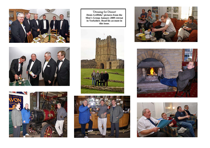













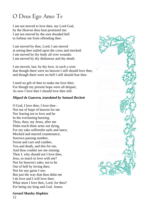# O Deus Ego Amo Te

I am not moved to love thee, my Lord God, by the Heaven thou hast promised me: I am not moved by the sore dreaded hell to forbear me from offending thee.

I am moved by thee, Lord; I am moved at seeing thee nailed upon the cross and mocked: I am moved by thy body all over wounds: I am moved by thy dishonour and thy death.

I am moved, last, by thy love, in such a wise that though there were no heaven I still should love thee, and though there were no hell I still should fear thee.

I need no gift of thee to make me love thee; For though my present hope were all despair, As now I love thee I should love thee still.

#### *Miguel de Guavera, translated by Samuel Beckett*

O God, I love thee, I love thee - Not out of hope of heaven for me Nor fearing not to love and be In the everlasting burning. Thou, thou, my Jesus, after me Didst reach thine arms out dying, For my sake sufferedst nails and lance, Mocked and marred countenance, Sorrows passing number, Sweat and care and cumber, Yea and death, and this for me, And thou couldst see me sinning: Then I, why should not I love thee, Jesu, so much in love with me? Not for heaven's sake; not to be Out of hell by loving thee; Not for any gains I see; But just the way that thou didst me I do love and I will love thee; What must I love thee, Lord, for then? For being my king and God. Amen.

*Gerard Manley Hopkins*  12

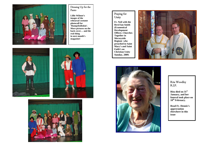

### Dressing Up for the Panto

**Lillie Wilmot's images of the rehearsal costume photocall for 'Rumpelstiltskin'. More pictures on the back cover… and the real thing in next month's magazine!** 





### Praying for Unity

**Fr. Neil with the Revd Ian Smith (Ecumenical Development Officer, Churches Together in Merseyside Region) who preached in Saint Mary's and Saint Faith's on Christian Unity Sunday, 2009.**





### Rita Woodley R.I.P.

**Rita died on 31s<sup>t</sup> January, and her funeral took place on <sup>10</sup>th February.** 

**Read Fr. Dennis's appreciation elsewhere in this issue**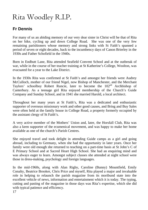# Rita Woodley R.I.P.

### **Fr Dennis**

For many of us an abiding memory of our very dear sister in Christ will be that of Rita on her bike, cycling up and down College Road. She was one of the very few remaining parishioners whose memory and strong links with St Faith's spanned a period of seven or eight decades, back to the incumbency days of Canon Brierley in the 1930s and Father Schofield in the 1940s.

Born in Endbutt Lane, Rita attended Seafield Convent School and at the outbreak of war, while in the course of her teacher training at St Katherine's College, Woolton, was evacuated for a year to the Lake District.

In the 1930s Rita was confirmed at St Faith's and amongst her friends were Audrey McCulloch, mother of our friend Nigel, now Bishop of Manchester, and the Merchant Taylors' schoolboy Robert Runcie, later to become the 102<sup>nd</sup> Archbishop of Canterbury. As a teenage girl Rita enjoyed membership of the Church's Guide Company and Sunday School, and in 1941 she married Harold, a local architect.

Throughout her many years at St Faith's, Rita was a dedicated and enthusiastic supporter of overseas missionary work and other good causes, and Bring and Buy Sales were often held at the family house in College Road, a property formerly occupied by the assistant clergy of St Faith's.

A very active member of the Mothers' Union and, later, the Horsfall Club, Rita was also a keen supporter of the ecumenical movement, and was happy to make her home available as one of the church's Parish Centres.

She enjoyed travel and took delight in attending Guide camps as a girl and going abroad, including to Germany, when she had the opportunity in later years. Once her family were old enough she returned to teaching on a part-time basis at St John's C of E Primary School and at Sacred Heart High School. She had an enquiring mind and was always eager to learn. Amongst subject classes she attended at night school were those in dress-making, psychology and foreign languages.

In the mid-1960s, along with Alan Rigby, Caroline (Bunny) Mountfield, Emily Conalty, Beatrice Brooker, Chris Price and myself, Rita played a major and invaluable role in helping to relaunch the parish magazine from its moribund state into the excellent vehicle of news, information and entertainment which it is today. The typing, cutting and pasting of the magazine in those days was Rita's expertise, which she did with typical patience and efficiency.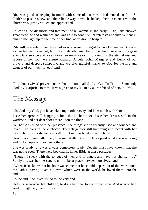Rita was good at keeping in touch with some of those who had moved on from St Faith's to pastures new, and the reliable way in which she kept them in contact with the church was greatly valued and appreciated.

Following the diagnosis and treatment of leukaemia in the early 1990s, Rita showed great fortitude and resilience and was able to continue her interests and involvement in church life right up to the time of her final admission to hospital.

Rita will be sorely missed by all of us who were privileged to have known her. She was a cheerful, warm-hearted, faithful and devoted member of the church to which she gave exemplary service and loyalty over so many years. In praying for the eternal rest and repose of her soul, we assure Richard, Angela, John, Margaret and Henry of our prayers and deepest sympathy, and we give grateful thanks to God for the life and witness of our much-loved friend.

---------------------------------------------------------------------------------------------------------

This 'housewives' prayer' comes from a book called 'I've Got To Talk to Somebody God' by Marjorie Holmes. It was given to my Mum by a dear friend of hers in 1969.

# The Message

Oh, God, my God, you have taken my mother away and I am numb with shock.

I see her apron still hanging behind the kitchen door. I see her dresses still in the wardrobe, and her dear shoes there upon the floor.

Her house is filled with her presence. The things she so recently used and touched and loved. The pans in the cupboard. The refrigerator still humming and recent with her food. The flowers she had cut still bright in their bowl upon the table.

How quickly you called her, how mercifully. She simply stopped what she was doing and looked up – and you were there.

She was ready. She was always completely ready. Yet she must have known that she was going soon. There were bookmarks in her Bible at these passages:

"Though I speak with the tongues of men and of angels and have not charity. . . ." Surely this was her message to us – to be at peace between ourselves. And:

"When Jesus knew that his hour was come that he should depart out of this world unto the Father, having loved his own, which were in the world, he loved them unto the end."

To the end. She loved us too to the very end.

Help us, who were her children, to draw her near to each other now. And near to her. And through her, nearer to you.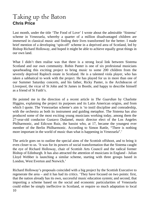### Taking up the Baton **Chris Price**

Last month, under the title 'The Food of Love' I wrote about the admirable 'Sistema' scheme in Venezuela, whereby a quarter of a million disadvantaged children are immersed in classical music and finding their lives transformed for the better. I made brief mention of a developing 'spin-off' scheme in a deprived area of Scotland, led by Bishop Richard Holloway, and hoped it might be able to achieve equally great things in our own land.

What I didn't then realise was that there is a strong local link between Sistema Scotland and our own community. Robin Panter is one of six profesional musicians spearheading this exciting project to bring music to some 200 children from the severely deprived Raploch estate in Scotland. He is a talented viola player, who has taken a sabbatical to work with the project. He has played for us in more than one of our Summer Saturday concerts, and his father, Ricky Panter, is the Archdeacon of Liverpool, the vicar of St John and St James in Bootle, and happy to describe himself as a friend of St Faith's.

He pointed me in the direction of a recent article in *The Guardian* by Charlotte Higgins, explaining the project its purposes and its Latin American origins, and from which I quote. The Venezuelan scheme's aim is 'to instil discipline and comradeship, with the orchestra as both its instrument and guiding metaphor. The Sistema has also produced some of the most exciting young musicians working today, among them the 27-year-old conductor Gustavo Dudamel, music director elect of the Los Angeles Philharmonic, and Edicson Ruiz, the bassist who, at 17, became the youngest ever member of the Berlin Philharmonic. According to Simon Rattle, "There is nothing more important in the world of music than what is happening in Venezuela".'

The article goes on to outline the special aims of the Scottish offshoot, and to bring it even closer to us. 'It was for its powers of social transformation that the Sistema caught the eye of Richard Holloway, chair of Scottish Arts Council and the radical former Bishop of Edinburgh. It has also attracted the attention of musicians in England - Julian Lloyd Webber is launching a similar scheme, starting with three groups based in London, West Everton and Norwich.'

Richard Holloway's proposals coincided with a big project by the Scottish Executive to regenerate the area – and it has had its critics. 'They have focused on two points: first, that the nation already has its own, successful music education system; and second, that importing a scheme based on the social and economic particularities of Venezuela could either be simply ineffective in Scotland, or require so much adaptation to local 10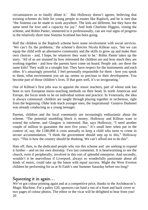circumstances as to fatally dilute it.' But Holloway doesn't agreee, believing that existing schemes do little for young people in estates like Raploch, and he is sure that "the Sistema can be made to work anywhere. The kids are different, but they have the same need for love and a capacity for joy." And both Charlotte Higgins, visting the scheme, and Robin Panter, immersed in it professionally, can see real signs of progress in the relatively short time Sistema Scotland has been going.

Half the children in the Raploch scheme have some involvement with social services. 'We can't fix the problems,' the scheme's director Nicola Killean says, 'but we can equip the child with an alternative community and the skills to grow up and make their own choices - and, I hope, be whatever they want to be.' Robin Panter takes up the story. 'All of us are stunned by how interested the children are and how much they are working together - and how the parents have come on board. People ask: are these the same kids? They walk in a straight line. They have respect for the instruments and each other. It's amazingly powerful. I feel personally responsible for them - how you speak to them, what environment you set up, seems so precious to their development. You become part of those children's lives. If that goes well, it's so invigorating.'

One of Killean's first jobs was to appoint the music teachers, part of whose task has been to turn European music-teaching methods on their head. In north American and Europe, the focus tends to be on individual tuition and practice. In Venezuela, the idea is always communal: children are taught through playing together in orchestras, right from the beginning. Older kids teach younger ones; the inspirational Gustavo Dudamel was already conducting as a young teenager.

Parents, children and the local community are increasingly enthusiastic about the scheme. 'The potential stumbling block is money. Holloway and Killean want to extend the scheme, and Glasgow is interested. But, says Holloway, "I need another couple of million to guarantee the next five years." It's small beer when put in the context of, say, the £180,000 it costs annually to keep a child who turns to crime in secure accommodation. "I think the government should step up to this," Holloway says. "This is how the country should be thinking. We can't afford not to do this".

Hats off, then, to the dedicated people who run this scheme and are seeking to expand it further – and on our own doorstep. Two last comments. It is heartwarming to see the church, even if peripherally, involved in this sort of splendid enterprise. And secondly, wouldn't it be marvellous if Liverpool, always so wonderfully passionate about all kinds of music, could take up the baton with equal success. Might the West Everton children be performing for us at St Faith's one Summer Saturday before too long?

### Squeezing it in again…

We've got colour printing again and at a competitive price, thanks to the Archdeacon's Magic Machine. For a paltry £20, sponsors can fund a run of a front and back cover or two pages of colour photos. The editor or the vicar will be delighted to hear from you! 20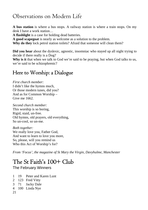# Observations on Modern Life

**A bus station** is where a bus stops. A railway station is where a train stops. On my desk I have a work station…

**A flashlight** is a case for holding dead batteries.

**A good scapegoat** is nearly as welcome as a solution to the problem.

**Why do they** lock petrol station toilets? Afraid that someone will clean them?

**Did you hear** about the dyslexic, agnostic, insomniac who stayed up all night trying to decide if there really is a Dog?

**Why is it** that when we talk to God we're said to be praying, but when God talks to us, we're said to be schizophrenic?

### Here to Worship: a Dialogue

*First church member:*  I didn't like the hymns much, Or those modern tunes, did you? And as for Common Worship – Give me 1662.

*Second church member:*  This worship is so boring, Rigid, staid, un-free. Old hymns, old prayers, old everything, So un-cool, so un-me.

*Both together:*  We really love you, Father God, And want to learn to love you more, So, please, will you remind us Who this Act of Worship's for?

*From 'Focus', the magazine of St Mary the Virgin, Davyhulme, Manchester* 

# The St Faith's 100+ Club

The February Winners

- 1 19 Peter and Karen Lunt
- 2 123 Fred Vitty
- 3 71 Jacky Dale
- 4 100 Linda Nye
- 21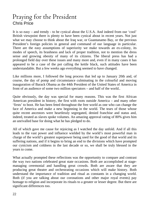### Praying for the President Chris Price

It is so easy – and trendy - to be cynical about the U.S.A. And indeed from our 'cool' British viewpoint there is plenty to have been cynical about in recent years. Not just what we may choose to think about the Iraq war, or Guantanamo Bay, or the previous President's foreign policies in general and command of our language in particular. There are the easy assumptions of superiority we make towards an ex-colony, its modes of speech, its brashness and lack of proper tradition, not to mention the dress sense and growing obesity of many of its citizens. The liberal press has had a prolonged field day over these issues and many more and, even if in many cases it has appeared to be a case of the pot calling the kettle black, such attitudes have been understandable. But a few weeks ago everything seemed to have changed.

Like millions more, I followed the long process that led up to January 20th and, of course, the day of pomp and circumstance culminating in the colourful and moving inauguration of Barack Obama as the 44th President of the United States of America in front of an audience of some two million spectators – and half of the world..

Quite obviously, the day was special for many reasons. This was the first African American president in history, the first with roots outside America – and many other 'firsts' to boot. He has been feted throughout the free world as one who can change the face of America and make a new beginning in the world. The tears of those whose quite recent ancestors were heartlessly segregated, denied franchise and status and, indeed, treated as slaves spoke volumes. An amazing approval rating of 80% gives him an unrivalled base for doing what he has pledged to do.

All of which gave me cause for rejoicing as I watched the day unfold. And if all this leads to the vast power and influence wielded by the world's most powerful man in charge of the world's greatest superpower being used for the good of that world and its suffering nations, and if it begins to bring an end to the divisions which have prompted our cynicism and coldness in the last decade or so, we shall be truly blessed in the years to come.

What actually prompted these reflections was the opportunity to compare and contrast the way two nations celebrated great state occasions. Both are accomplished at stagemanaging ceremonial and handling great crowds. Both are aware that they are producing great theatre and orchestrating occasions which will make history. Both understand the importance of tradition and ritual as constants in a changing world. Both (if you are talking about our coronations and other major royal events) pay homage to religion and incorporate its rituals to a greater or lesser degree. But there are significant differences too.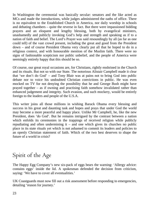In Washington the ceremonial was basically secular: senators and the like acted as MCs and made the introductions, while judges administered the oaths of office. There is no equivalent to the Established Church in America, nor daily worship in schools and debating chambers – quite the reverse in fact. But there were impassioned bidding prayers and an eloquent and lengthy blessing, both by evangelical ministers, unashamedly and publicly invoking God's help and strength and speaking as if to a nation of faith and belief. The Lord's Prayer was said resoundingly by all (as far as one could tell) of the vast crowd present, including the great and good from the President down – and of course President Obama very clearly put all that he hoped to do in a religious context, and with honourable mention of the Muslim faith. There were no signs of fashionable scepticism nor public unbelief, and the people of America were seemingly entirely happy that this should be so.

Of course, our great royal occasions are, for Christians, rightly enshrined in the Church and its rituals. But not so with our State. The notorious Alistair Campbell made it clear that 'we don't do God' – and Tony Blair was at pains not to bring God into public debate nor to voice his undoubted Christian convictions in public. He was even mocked on TV for not denying the possibility that he and George Bush might have prayed together – as if owning and practising faith somehow invalidated rather than enhanced judgement and integrity. Such evasion, and such mockery, would be entirely foreign to the leaders and people of the U.S.A.

This writer joins all those millions in wishing Barack Obama every blessing and success in his great and daunting task and hopes and prays that under God the world may become a more peaceful and happy place. Unlike Mr Campbell, he, like the new President, does 'do God'. But he remains intrigued by the contrast between a nation which enfolds its ceremonies in the trappings of received religion while publicly repudiating and often undermining it – and one which gives its churches no public place in its state rituals yet which is not ashamed to commit its leaders and policies to an openly Christian statement of faith. Which of the two best deserves to shape the future of a world in crisis?

# Spirit of the Age

The Happy Egg Company's new six-pack of eggs bears the warning: 'Allergy advice: contains eggs' inside the lid. A spokesman defended the decision from criticism, saying: 'We have to cover all eventualities.'

UK Coastguards must now fill out a risk assessment before responding to emergencies, detailing 'reason for journey.'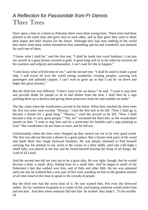# *A Reflection for Passiontide from Fr Dennis*  Three Trees

Once upon a time in a forest in Palestine there were three young trees. These trees had been planted at the same time and grew next to each other, and as they grew they used to share their hopes and their dreams for the future. Although they had seen nothing of the world they knew from deep within themselves that something special and wonderful was planned for each one of them.

"I know what I shall be," said the first tree. "I shall be made into royal furniture. I can just see myself as a great throne covered in gold. A great king will sit in me when he receives all his courtiers and subjects and ambassadors. I can't wait for this to happen."

"I also know what will become of me," said the second tree. "I shall be used to make a great ship. I will travel all over the world seeing wonderful, exciting peoples, carrying rich passengers and splendid cargoes. I can't wait to grow up so that I can be cut down and begin this great journey."

But the third tree was different. "I don't want to be cut down," he said. "I want to stay here and provide shade for people to sit in and shelter from the heat. I shall then be a sign pointing them up to heaven and giving them protection from the bad weather on earth."

The day came when the woodcutters arrived in the forest. When they reached the three trees the first two trees were excited. "Hooray," cried the first tree as he fell. "Now I shall go to become a throne for a great king." "Hooray," cried the second as he fell. "Now I shall become a ship to carry great people." "No, no!" screamed the third tree, as the woodcutters started on him. "I want to stay here and be a protection for families and a sign pointing to God." But woodcutters do not listen to trees, and he fell too.

Unfortunately when the trees were chopped up they turned out not to be very good wood. The first tree did not become a throne in a great palace. But a farmer took parts of his wood and made them into rough farmyard furniture. He was deeply ashamed to find himself carrying hay for animals to eat, stuck in the corner of a dirty stable, until one cold night a small baby was placed in the hay and he found himself bearing the King of all Kings, the Lord of all Lords.

And the second tree did not turn out to be a great ship. He was right, though, that he would become a boat: a small, dirty, fishing boat on a small lake. And he began to smell of the fishermen's feet that walked over him, and of fishs and other filth. He too was ashamed until one day he realised that a new pair of feet were standing on him as the greatest teacher of all time stood in this boat to speak to the crowds of people.

But the third tree had the worst time of it. No one wanted him. Not even the firewood sellers. He lay somehow forgotten in a corner of the yard hoping someone would notice him and use him. And then when someone did take him he wished they hadn't. To his terrible 24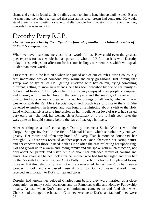shame and grief, he found soldiers nailing a man to him to hang him up until he died. But as he man hung there the tree realised that after all his great dream had come true. He would stand there for ever casting a shade to shelter people from the storms of life and pointing upwards to heaven and God.

# Dorothy Parry R.I.P.

### *The sermon preached by Fred Nye at the funeral of another much-loved member of St Faith's congregation.*

When we have lost someone close to us, words fail us. How could even the greatest poet express for us a whole human person, a whole life? And so it is with Dorothy today – it is perhaps our affection for her, our feelings, our memories which will speak louder than mere words.

I first met Dot in the late 70's when she joined one of our church House Groups. My first impression was of someone very warm and very gregarious. Just joining that group was so typical of Dot: getting involved with her church, trying something different, getting to know new friends. She has been described by one of her family as 'a breath of fresh air'. Throughout her life she always enjoyed other people's company, and sharing with them her love of the countryside and the seaside, of travel and of music. And so she was a great enthusiast for outings of all kinds, whether it was weekends with the Ramblers Association, church coach trips or visits to the Phil. She travelled extensively in Europe, and was fond of reminiscing about a visit to the Holy Land which had left a lasting impression on her. I believe her love of travel had started very early on - she took her teenage sister Rosemary on a trip to Paris soon after the war; quite an intrepid venture before the days of package holidays.

After working as an office manager, Dorothy became a Social Worker with 'the Corpy'. She got involved in the field of Mental Health, which she obviously enjoyed greatly. Her robust and often wry brand of Liverpudlian humour no doubt saw her through! But here was revealed another aspect of Dot's character, her caring nature and her concern for those in need, both as is so often the case reflecting her upbringing. Dot had grown up in a warm and loving family and she spoke with much affection, not only about her parents and sister, but also about her extended family of cousins and aunts. For years she helped look after her mother who had lost her sight, and after her mother's death Dot cared for her Aunty Polly, in the family home. I'm pleased to say however that this relationship was not entirely one-sided. In her time Polly had been a wonderful cook, and she passed these skills on to Dot. You never refused if you received an invitation to Dot's for tea and cakes!

Dorothy had known her beloved Charles long before they were married, as a close companion on many social occasions and on Ramblers walks and Holiday Fellowship breaks. At last, when Dot's family commitments came to an end (and also when Charles had arranged the house in Courtney Avenue to Dot's satisfaction!) they were 25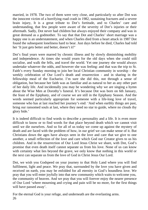married, in 1978. The two of them were very close, and particularly so after Dot was the innocent victim of a horrifying road crash in 1982, sustaining fractures and a severe brain injury, It is a great tribute to Dot's fortitude, and to Charles' care and understanding, that few people were aware of the severity of Dot's injuries or their aftermath. Sadly, Dot never had children but always enjoyed their company and was in great demand as a godmother. To say that that Dot and Charles' short marriage was a happy one is an understatement, and when Charles died from a heart attack in 1987 Dot found the subsequent loneliness hard to bear. Just days before he died, Charles had told her 'It just gets better and better, doesn't it?'

Dot's final years were marred by chronic illness and by slowly diminishing mobility and independence. At times she would yearn for the old days when she could still socialise, and walk the fells, and travel the world. Yet one journey she would always undertake whatever the odds, and however she was feeling: and that was the trip to St. Faith's every Sunday morning to join her local Christian community in worship – the weekly celebration of Our Lord's death and resurrection - and in sharing in the fellowship meal of the Eucharist. I'm sure she did this, not through a sense of obligation, but because her faith was as familiar and as natural to her as any other part of her daily life. And incidentally you may be wondering why we are singing a hymn about the Wise Men at Dorothy's funeral. It's because Dot was born on 6th January, the feast of the Epiphany, and of course we are still in the Epiphany Season. And the words seemed particularly appropriate for someone with a life-long love of travel, someone who has at last reached her journey's end: 'And when earthly things are past, bring our ransomed souls at last, where they need no star to guide, where no clouds thy glory hide.'

It is indeed difficult to find words to describe a personality and a life. It is even more difficult to know or to find words for that place beyond death which we cannot visit until we die ourselves. And so for all of us today we come up against the mystery of death and are faced with the problem of how, in our grief we can make sense of it. But Christians down the ages have always seen in the love and care that we give to one another, a small reflection of the love and care which God our Creator gives to us his children. And in the resurrection of Our Lord Jesus Christ we share, with Dot, God's promise that even death itself cannot separate us from his love. None of us can know with certainty what lies beyond the grave, we only know that nothing in this world or the next can separate us from the love of God in Christ Jesus Our Lord.

Dot, we wish you Godspeed on your journey to that Holy Land where you will find fulfilment, light and peace. We pray that, surrounded by the love you have given and received on earth, you may be enfolded for all eternity in God's boundless love. We pray that you will enter joyfully into that new community which waits to welcome you, the community of heaven. And we pray that you will forever enjoy the nearer presence of Our Lord 'where mourning and crying and pain will be no more, for the first things will have passed away'.

For the eternal God is your refuge, and underneath are the everlasting arms. 26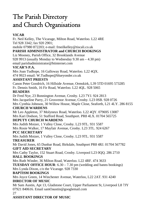# The Parish Directory and Church Organisations

### **VICAR**

Fr. Neil Kelley, The Vicarage, Milton Road, Waterloo. L22 4RE Tel 928 3342; fax 920 2901; mobile 07980 872203; e-mail: frneilkelley@tiscali.co.uk **PARISH ADMINISTRATOR and CHURCH BOOKINGS**  Liz Mooney, Parish Office, 32 Brooklands Avenue 928 9913 (usually Monday to Wednesday 9.30 am – 4.30 pm) email parishadministrator@btinternet.com **VICAR'S P.A.**  Mrs Joan Tudhope, 16 Galloway Road, Waterloo. L22 4QX. 474 9923 email: W.Tudhope@blueyonder.co.uk **ASSISTANT PRIESTS**  Canon Peter Goodrich, 16 Hillside Avenue, Ormskirk, L39 5TD 01695 573285 Fr. Dennis Smith, 16 Fir Road, Waterloo. L22 4QL. 928 5065 **READERS**  Dr Fred Nye, 23 Bonnington Avenue, Crosby. L23 7YJ. 924 2813 Mrs Jacqueline Parry, 21 Grosvenor Avenue, Crosby. L23 0SB. 928 0726 Mrs Cynthia Johnson, 30 Willow House, Maple Close, Seaforth, L21 4LY. 286 8155 **CHURCH WARDENS**  Mr Leo Appleton, 37 Molyneux Road, Waterloo. L22 4QY. 079695 13087 Mrs Kari Dodson, 51 Stafford Road, Southport. PR8 4LX. 01704 565725 **DEPUTY CHURCH WARDENS**  Mrs Judith Moizer, 1 Valley Close, Crosby. L23 9TL. 931 5587 Mrs Rosie Walker, 17 Mayfair Avenue, Crosby. L23 3TL. 924 6267 **PCC SECRETARY**  Mrs Judith Moizer, 1 Valley Close, Crosby. L23 9TL. 931 5587 **TREASURER**  Mr David Jones, 65 Dunbar Road, Birkdale, Southport PR8 4RJ. 01704 567782 **GIFT AID SECRETARY**  Mrs Cathy Taylor, 152 Stuart Road, Crosby. Liverpool L23 0OO. 286 2710 **HALL BOOKINGS**  Mrs Ruth Winder, 36 Milton Road, Waterloo. L22 4RF. 474 3633 **TUESDAY OFFICE HOUR:** 6.30 – 7.30 pm (wedding and banns bookings) Mrs Lynda Dixon, c/o the Vicarage. 928 7330 **BAPTISM BOOKINGS**  Mrs Joyce Green, 14 Winchester Avenue, Waterloo, L22 2AT. 931 4240 **DIRECTOR OF MUSIC**  Mr Sam Austin, Apt 13, Gladstone Court, Upper Parliament St, Liverpool L8 7JY 07921 840616. Email [samOaustin@googlemail.com](mailto:samOaustin@googlemail.com) 27

**ASSISTANT DIRECTOR OF MUSIC**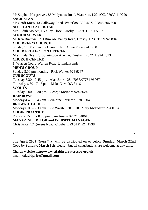Mr Stephen Hargreaves, 86 Molyneux Road, Waterloo. L22 4QZ. 07939 119220 **SACRISTAN**  Mr Geoff Moss, 13 Galloway Road, Waterloo. L22 4QX 07846 306 500 **ASSISTANT SACRISTAN**  Mrs Judith Moizer, 1 Valley Close, Crosby. L23 9TL. 931 5587 **SENIOR SERVER**  Mr Ken Bramwell, 93 Rimrose Valley Road, Crosby. L23 9TF 924 9894 **CHILDREN'S CHURCH**  Sunday 11.00 am in the Church Hall. Angie Price 924 1938 **CHILD PROTECTION OFFICER**  Mrs Linda Nye, 23 Bonnington Avenue, Crosby. L23 7YJ. 924 2813 **CHURCH CENTRE**  1, Warren Court, Warren Road, Blundellsands **MEN'S GROUP**  Sunday 8.00 pm monthly. Rick Walker 924 6267 **CUB SCOUTS**  Tuesday 6.30 - 7.45 pm. Alan Jones 284 7038/07761 960671 Thursday 6.30 - 7.45 pm. Mike Carr 293 3416 **SCOUTS**  Tuesday 8.00 - 9.30 pm. George McInnes 924 3624 **RAINBOWS**  Monday 4.45 - 5.45 pm. Geraldine Forshaw 928 5204 **BROWNIE GUIDES**  Monday 6.00 - 7.30 pm. Sue Walsh 920 0318 Mary McFadyen 284 0104 **CHOIR PRACTICE**  Friday 7.15 pm - 8.30 pm. Sam Austin 07921 840616 **MAGAZINE EDITOR and WEBSITE MANAGER**  Chris Price, 17 Queens Road, Crosby. L23 5TP. 924 1938

The **April 2009** *'Newslink'* will be distributed on or before **Sunday, March 22nd**. Copy by **Sunday, March 8th**, please - but all contributions are welcome at any time.

Church website **[http://www.stfaithsgreatcrosby.org.uk](http://www.stfaithsgreatcrosby.org.uk/)** email **cdavidprice@gmail.com**